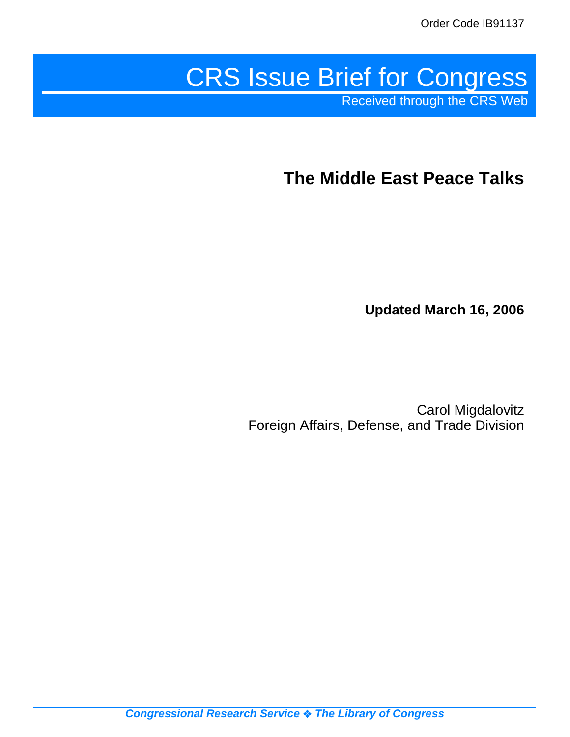# CRS Issue Brief for Congress Received through the CRS Web

**The Middle East Peace Talks**

**Updated March 16, 2006**

Carol Migdalovitz Foreign Affairs, Defense, and Trade Division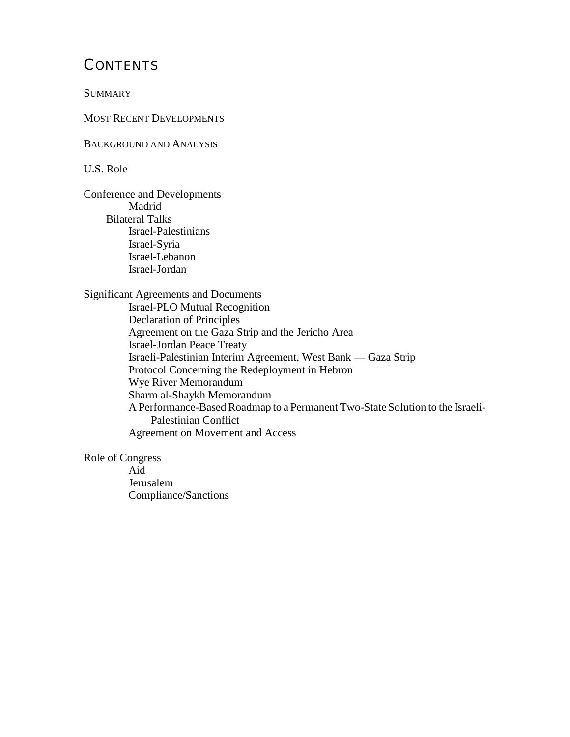## **CONTENTS**

**SUMMARY** 

MOST RECENT DEVELOPMENTS

BACKGROUND AND ANALYSIS

U.S. Role

Conference and Developments Madrid Bilateral Talks Israel-Palestinians Israel-Syria Israel-Lebanon Israel-Jordan

Significant Agreements and Documents

Israel-PLO Mutual Recognition Declaration of Principles Agreement on the Gaza Strip and the Jericho Area Israel-Jordan Peace Treaty Israeli-Palestinian Interim Agreement, West Bank — Gaza Strip Protocol Concerning the Redeployment in Hebron Wye River Memorandum Sharm al-Shaykh Memorandum A Performance-Based Roadmap to a Permanent Two-State Solution to the Israeli-Palestinian Conflict Agreement on Movement and Access

Role of Congress

Aid Jerusalem Compliance/Sanctions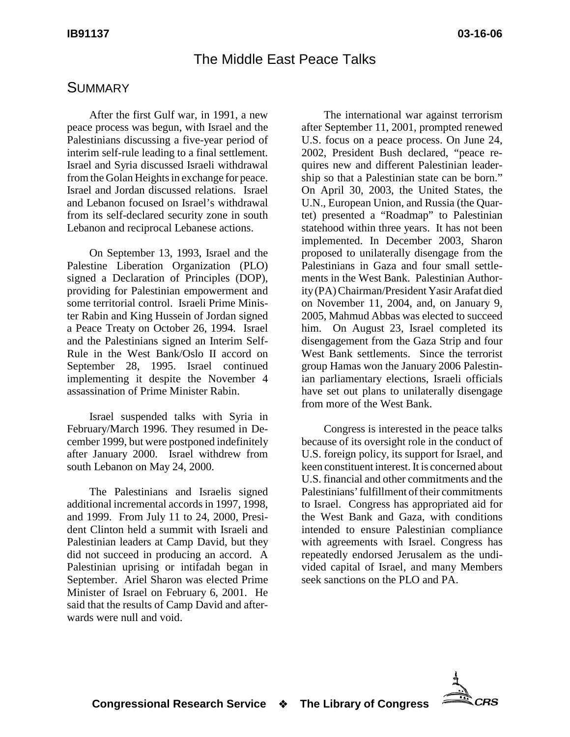#### The Middle East Peace Talks

#### **SUMMARY**

After the first Gulf war, in 1991, a new peace process was begun, with Israel and the Palestinians discussing a five-year period of interim self-rule leading to a final settlement. Israel and Syria discussed Israeli withdrawal from the Golan Heights in exchange for peace. Israel and Jordan discussed relations. Israel and Lebanon focused on Israel's withdrawal from its self-declared security zone in south Lebanon and reciprocal Lebanese actions.

On September 13, 1993, Israel and the Palestine Liberation Organization (PLO) signed a Declaration of Principles (DOP), providing for Palestinian empowerment and some territorial control. Israeli Prime Minister Rabin and King Hussein of Jordan signed a Peace Treaty on October 26, 1994. Israel and the Palestinians signed an Interim Self-Rule in the West Bank/Oslo II accord on September 28, 1995. Israel continued implementing it despite the November 4 assassination of Prime Minister Rabin.

Israel suspended talks with Syria in February/March 1996. They resumed in December 1999, but were postponed indefinitely after January 2000. Israel withdrew from south Lebanon on May 24, 2000.

The Palestinians and Israelis signed additional incremental accords in 1997, 1998, and 1999. From July 11 to 24, 2000, President Clinton held a summit with Israeli and Palestinian leaders at Camp David, but they did not succeed in producing an accord. A Palestinian uprising or intifadah began in September. Ariel Sharon was elected Prime Minister of Israel on February 6, 2001. He said that the results of Camp David and afterwards were null and void.

The international war against terrorism after September 11, 2001, prompted renewed U.S. focus on a peace process. On June 24, 2002, President Bush declared, "peace requires new and different Palestinian leadership so that a Palestinian state can be born." On April 30, 2003, the United States, the U.N., European Union, and Russia (the Quartet) presented a "Roadmap" to Palestinian statehood within three years. It has not been implemented. In December 2003, Sharon proposed to unilaterally disengage from the Palestinians in Gaza and four small settlements in the West Bank. Palestinian Authority (PA) Chairman/President Yasir Arafat died on November 11, 2004, and, on January 9, 2005, Mahmud Abbas was elected to succeed him. On August 23, Israel completed its disengagement from the Gaza Strip and four West Bank settlements. Since the terrorist group Hamas won the January 2006 Palestinian parliamentary elections, Israeli officials have set out plans to unilaterally disengage from more of the West Bank.

Congress is interested in the peace talks because of its oversight role in the conduct of U.S. foreign policy, its support for Israel, and keen constituent interest. It is concerned about U.S. financial and other commitments and the Palestinians' fulfillment of their commitments to Israel. Congress has appropriated aid for the West Bank and Gaza, with conditions intended to ensure Palestinian compliance with agreements with Israel. Congress has repeatedly endorsed Jerusalem as the undivided capital of Israel, and many Members seek sanctions on the PLO and PA.

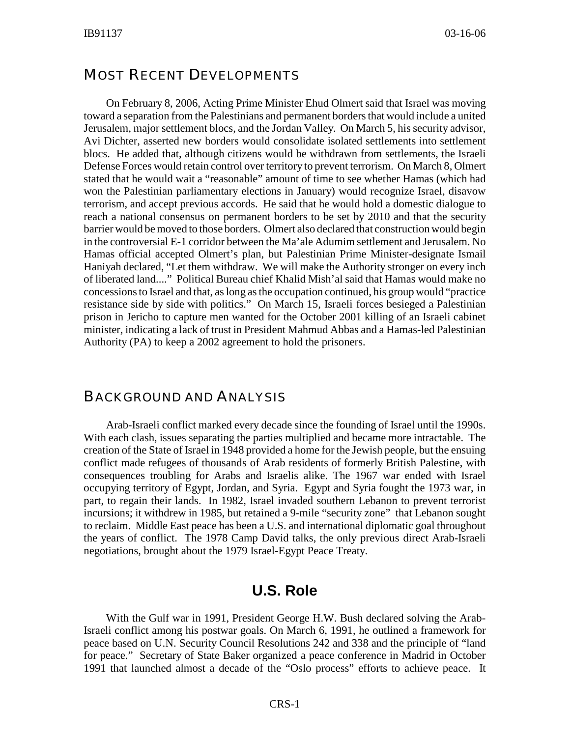#### MOST RECENT DEVELOPMENTS

On February 8, 2006, Acting Prime Minister Ehud Olmert said that Israel was moving toward a separation from the Palestinians and permanent borders that would include a united Jerusalem, major settlement blocs, and the Jordan Valley. On March 5, his security advisor, Avi Dichter, asserted new borders would consolidate isolated settlements into settlement blocs. He added that, although citizens would be withdrawn from settlements, the Israeli Defense Forces would retain control over territory to prevent terrorism. On March 8, Olmert stated that he would wait a "reasonable" amount of time to see whether Hamas (which had won the Palestinian parliamentary elections in January) would recognize Israel, disavow terrorism, and accept previous accords. He said that he would hold a domestic dialogue to reach a national consensus on permanent borders to be set by 2010 and that the security barrier would be moved to those borders. Olmert also declared that construction would begin in the controversial E-1 corridor between the Ma'ale Adumim settlement and Jerusalem. No Hamas official accepted Olmert's plan, but Palestinian Prime Minister-designate Ismail Haniyah declared, "Let them withdraw. We will make the Authority stronger on every inch of liberated land...." Political Bureau chief Khalid Mish'al said that Hamas would make no concessions to Israel and that, as long as the occupation continued, his group would "practice resistance side by side with politics." On March 15, Israeli forces besieged a Palestinian prison in Jericho to capture men wanted for the October 2001 killing of an Israeli cabinet minister, indicating a lack of trust in President Mahmud Abbas and a Hamas-led Palestinian Authority (PA) to keep a 2002 agreement to hold the prisoners.

#### BACKGROUND AND ANALYSIS

Arab-Israeli conflict marked every decade since the founding of Israel until the 1990s. With each clash, issues separating the parties multiplied and became more intractable. The creation of the State of Israel in 1948 provided a home for the Jewish people, but the ensuing conflict made refugees of thousands of Arab residents of formerly British Palestine, with consequences troubling for Arabs and Israelis alike. The 1967 war ended with Israel occupying territory of Egypt, Jordan, and Syria. Egypt and Syria fought the 1973 war, in part, to regain their lands. In 1982, Israel invaded southern Lebanon to prevent terrorist incursions; it withdrew in 1985, but retained a 9-mile "security zone" that Lebanon sought to reclaim. Middle East peace has been a U.S. and international diplomatic goal throughout the years of conflict. The 1978 Camp David talks, the only previous direct Arab-Israeli negotiations, brought about the 1979 Israel-Egypt Peace Treaty.

#### **U.S. Role**

With the Gulf war in 1991, President George H.W. Bush declared solving the Arab-Israeli conflict among his postwar goals. On March 6, 1991, he outlined a framework for peace based on U.N. Security Council Resolutions 242 and 338 and the principle of "land for peace." Secretary of State Baker organized a peace conference in Madrid in October 1991 that launched almost a decade of the "Oslo process" efforts to achieve peace. It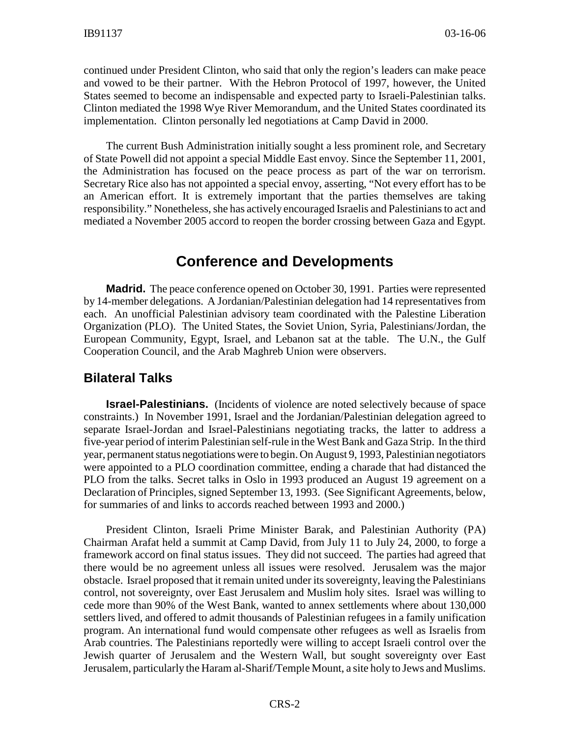continued under President Clinton, who said that only the region's leaders can make peace and vowed to be their partner. With the Hebron Protocol of 1997, however, the United States seemed to become an indispensable and expected party to Israeli-Palestinian talks. Clinton mediated the 1998 Wye River Memorandum, and the United States coordinated its implementation. Clinton personally led negotiations at Camp David in 2000.

The current Bush Administration initially sought a less prominent role, and Secretary of State Powell did not appoint a special Middle East envoy. Since the September 11, 2001, the Administration has focused on the peace process as part of the war on terrorism. Secretary Rice also has not appointed a special envoy, asserting, "Not every effort has to be an American effort. It is extremely important that the parties themselves are taking responsibility." Nonetheless, she has actively encouraged Israelis and Palestinians to act and mediated a November 2005 accord to reopen the border crossing between Gaza and Egypt.

#### **Conference and Developments**

**Madrid.** The peace conference opened on October 30, 1991. Parties were represented by 14-member delegations. A Jordanian/Palestinian delegation had 14 representatives from each. An unofficial Palestinian advisory team coordinated with the Palestine Liberation Organization (PLO). The United States, the Soviet Union, Syria, Palestinians/Jordan, the European Community, Egypt, Israel, and Lebanon sat at the table. The U.N., the Gulf Cooperation Council, and the Arab Maghreb Union were observers.

#### **Bilateral Talks**

**Israel-Palestinians.** (Incidents of violence are noted selectively because of space constraints.) In November 1991, Israel and the Jordanian/Palestinian delegation agreed to separate Israel-Jordan and Israel-Palestinians negotiating tracks, the latter to address a five-year period of interim Palestinian self-rule in the West Bank and Gaza Strip. In the third year, permanent status negotiations were to begin. On August 9, 1993, Palestinian negotiators were appointed to a PLO coordination committee, ending a charade that had distanced the PLO from the talks. Secret talks in Oslo in 1993 produced an August 19 agreement on a Declaration of Principles, signed September 13, 1993. (See Significant Agreements, below, for summaries of and links to accords reached between 1993 and 2000.)

President Clinton, Israeli Prime Minister Barak, and Palestinian Authority (PA) Chairman Arafat held a summit at Camp David, from July 11 to July 24, 2000, to forge a framework accord on final status issues. They did not succeed. The parties had agreed that there would be no agreement unless all issues were resolved. Jerusalem was the major obstacle. Israel proposed that it remain united under its sovereignty, leaving the Palestinians control, not sovereignty, over East Jerusalem and Muslim holy sites. Israel was willing to cede more than 90% of the West Bank, wanted to annex settlements where about 130,000 settlers lived, and offered to admit thousands of Palestinian refugees in a family unification program. An international fund would compensate other refugees as well as Israelis from Arab countries. The Palestinians reportedly were willing to accept Israeli control over the Jewish quarter of Jerusalem and the Western Wall, but sought sovereignty over East Jerusalem, particularly the Haram al-Sharif/Temple Mount, a site holy to Jews and Muslims.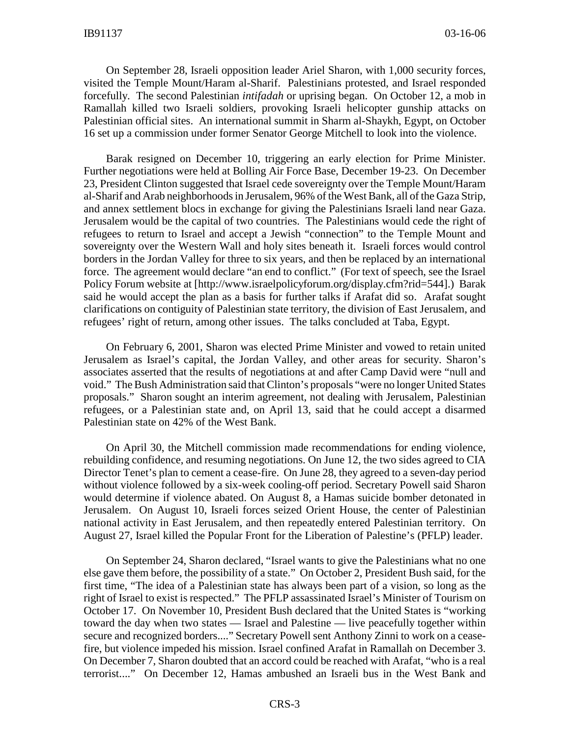On September 28, Israeli opposition leader Ariel Sharon, with 1,000 security forces, visited the Temple Mount/Haram al-Sharif. Palestinians protested, and Israel responded forcefully. The second Palestinian *intifadah* or uprising began. On October 12, a mob in Ramallah killed two Israeli soldiers, provoking Israeli helicopter gunship attacks on Palestinian official sites. An international summit in Sharm al-Shaykh, Egypt, on October 16 set up a commission under former Senator George Mitchell to look into the violence.

Barak resigned on December 10, triggering an early election for Prime Minister. Further negotiations were held at Bolling Air Force Base, December 19-23. On December 23, President Clinton suggested that Israel cede sovereignty over the Temple Mount/Haram al-Sharif and Arab neighborhoods in Jerusalem, 96% of the West Bank, all of the Gaza Strip, and annex settlement blocs in exchange for giving the Palestinians Israeli land near Gaza. Jerusalem would be the capital of two countries. The Palestinians would cede the right of refugees to return to Israel and accept a Jewish "connection" to the Temple Mount and sovereignty over the Western Wall and holy sites beneath it. Israeli forces would control borders in the Jordan Valley for three to six years, and then be replaced by an international force. The agreement would declare "an end to conflict." (For text of speech, see the Israel Policy Forum website at [http://www.israelpolicyforum.org/display.cfm?rid=544].) Barak said he would accept the plan as a basis for further talks if Arafat did so. Arafat sought clarifications on contiguity of Palestinian state territory, the division of East Jerusalem, and refugees' right of return, among other issues. The talks concluded at Taba, Egypt.

On February 6, 2001, Sharon was elected Prime Minister and vowed to retain united Jerusalem as Israel's capital, the Jordan Valley, and other areas for security. Sharon's associates asserted that the results of negotiations at and after Camp David were "null and void." The Bush Administration said that Clinton's proposals "were no longer United States proposals." Sharon sought an interim agreement, not dealing with Jerusalem, Palestinian refugees, or a Palestinian state and, on April 13, said that he could accept a disarmed Palestinian state on 42% of the West Bank.

On April 30, the Mitchell commission made recommendations for ending violence, rebuilding confidence, and resuming negotiations. On June 12, the two sides agreed to CIA Director Tenet's plan to cement a cease-fire. On June 28, they agreed to a seven-day period without violence followed by a six-week cooling-off period. Secretary Powell said Sharon would determine if violence abated. On August 8, a Hamas suicide bomber detonated in Jerusalem. On August 10, Israeli forces seized Orient House, the center of Palestinian national activity in East Jerusalem, and then repeatedly entered Palestinian territory. On August 27, Israel killed the Popular Front for the Liberation of Palestine's (PFLP) leader.

On September 24, Sharon declared, "Israel wants to give the Palestinians what no one else gave them before, the possibility of a state." On October 2, President Bush said, for the first time, "The idea of a Palestinian state has always been part of a vision, so long as the right of Israel to exist is respected." The PFLP assassinated Israel's Minister of Tourism on October 17. On November 10, President Bush declared that the United States is "working toward the day when two states — Israel and Palestine — live peacefully together within secure and recognized borders...." Secretary Powell sent Anthony Zinni to work on a ceasefire, but violence impeded his mission. Israel confined Arafat in Ramallah on December 3. On December 7, Sharon doubted that an accord could be reached with Arafat, "who is a real terrorist...." On December 12, Hamas ambushed an Israeli bus in the West Bank and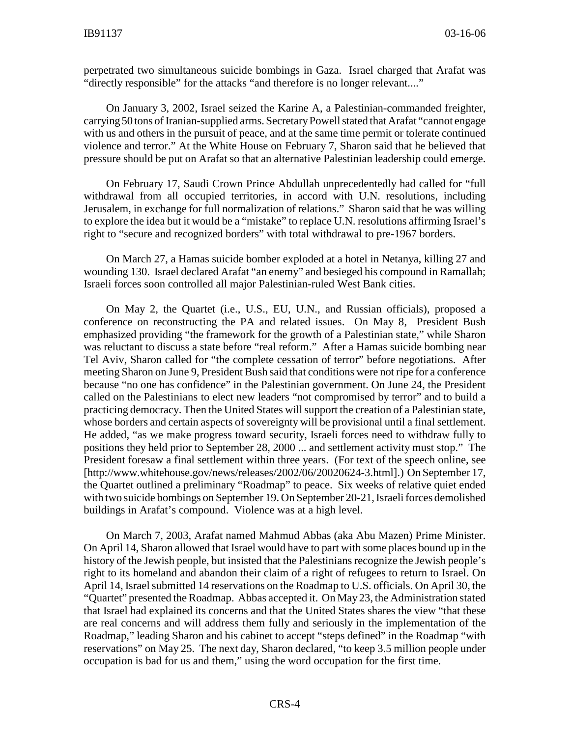perpetrated two simultaneous suicide bombings in Gaza. Israel charged that Arafat was "directly responsible" for the attacks "and therefore is no longer relevant...."

On January 3, 2002, Israel seized the Karine A, a Palestinian-commanded freighter, carrying 50 tons of Iranian-supplied arms. Secretary Powell stated that Arafat "cannot engage with us and others in the pursuit of peace, and at the same time permit or tolerate continued violence and terror." At the White House on February 7, Sharon said that he believed that pressure should be put on Arafat so that an alternative Palestinian leadership could emerge.

On February 17, Saudi Crown Prince Abdullah unprecedentedly had called for "full withdrawal from all occupied territories, in accord with U.N. resolutions, including Jerusalem, in exchange for full normalization of relations." Sharon said that he was willing to explore the idea but it would be a "mistake" to replace U.N. resolutions affirming Israel's right to "secure and recognized borders" with total withdrawal to pre-1967 borders.

On March 27, a Hamas suicide bomber exploded at a hotel in Netanya, killing 27 and wounding 130. Israel declared Arafat "an enemy" and besieged his compound in Ramallah; Israeli forces soon controlled all major Palestinian-ruled West Bank cities.

On May 2, the Quartet (i.e., U.S., EU, U.N., and Russian officials), proposed a conference on reconstructing the PA and related issues. On May 8, President Bush emphasized providing "the framework for the growth of a Palestinian state," while Sharon was reluctant to discuss a state before "real reform." After a Hamas suicide bombing near Tel Aviv, Sharon called for "the complete cessation of terror" before negotiations. After meeting Sharon on June 9, President Bush said that conditions were not ripe for a conference because "no one has confidence" in the Palestinian government. On June 24, the President called on the Palestinians to elect new leaders "not compromised by terror" and to build a practicing democracy. Then the United States will support the creation of a Palestinian state, whose borders and certain aspects of sovereignty will be provisional until a final settlement. He added, "as we make progress toward security, Israeli forces need to withdraw fully to positions they held prior to September 28, 2000 ... and settlement activity must stop." The President foresaw a final settlement within three years. (For text of the speech online, see [http://www.whitehouse.gov/news/releases/2002/06/20020624-3.html].) On September 17, the Quartet outlined a preliminary "Roadmap" to peace. Six weeks of relative quiet ended with two suicide bombings on September 19. On September 20-21, Israeli forces demolished buildings in Arafat's compound. Violence was at a high level.

On March 7, 2003, Arafat named Mahmud Abbas (aka Abu Mazen) Prime Minister. On April 14, Sharon allowed that Israel would have to part with some places bound up in the history of the Jewish people, but insisted that the Palestinians recognize the Jewish people's right to its homeland and abandon their claim of a right of refugees to return to Israel. On April 14, Israel submitted 14 reservations on the Roadmap to U.S. officials. On April 30, the "Quartet" presented the Roadmap. Abbas accepted it. On May 23, the Administration stated that Israel had explained its concerns and that the United States shares the view "that these are real concerns and will address them fully and seriously in the implementation of the Roadmap," leading Sharon and his cabinet to accept "steps defined" in the Roadmap "with reservations" on May 25. The next day, Sharon declared, "to keep 3.5 million people under occupation is bad for us and them," using the word occupation for the first time.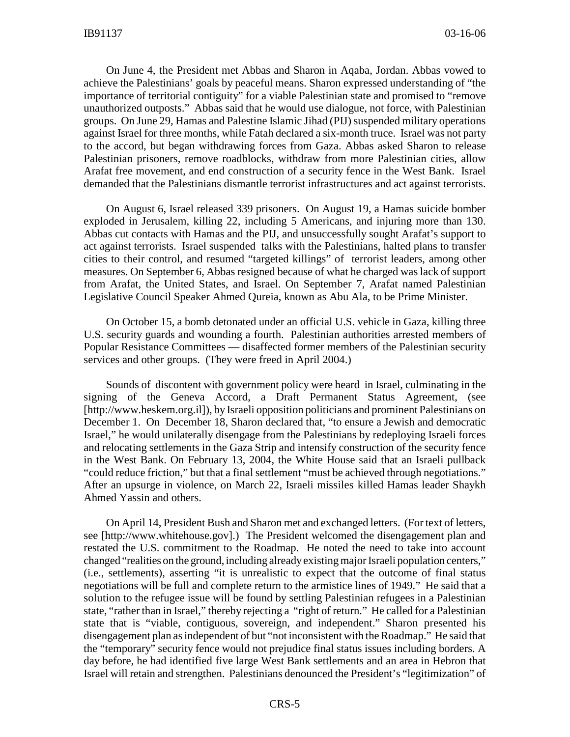On June 4, the President met Abbas and Sharon in Aqaba, Jordan. Abbas vowed to achieve the Palestinians' goals by peaceful means. Sharon expressed understanding of "the importance of territorial contiguity" for a viable Palestinian state and promised to "remove unauthorized outposts." Abbas said that he would use dialogue, not force, with Palestinian groups. On June 29, Hamas and Palestine Islamic Jihad (PIJ) suspended military operations against Israel for three months, while Fatah declared a six-month truce. Israel was not party to the accord, but began withdrawing forces from Gaza. Abbas asked Sharon to release Palestinian prisoners, remove roadblocks, withdraw from more Palestinian cities, allow Arafat free movement, and end construction of a security fence in the West Bank. Israel demanded that the Palestinians dismantle terrorist infrastructures and act against terrorists.

On August 6, Israel released 339 prisoners. On August 19, a Hamas suicide bomber exploded in Jerusalem, killing 22, including 5 Americans, and injuring more than 130. Abbas cut contacts with Hamas and the PIJ, and unsuccessfully sought Arafat's support to act against terrorists. Israel suspended talks with the Palestinians, halted plans to transfer cities to their control, and resumed "targeted killings" of terrorist leaders, among other measures. On September 6, Abbas resigned because of what he charged was lack of support from Arafat, the United States, and Israel. On September 7, Arafat named Palestinian Legislative Council Speaker Ahmed Qureia, known as Abu Ala, to be Prime Minister.

On October 15, a bomb detonated under an official U.S. vehicle in Gaza, killing three U.S. security guards and wounding a fourth. Palestinian authorities arrested members of Popular Resistance Committees — disaffected former members of the Palestinian security services and other groups. (They were freed in April 2004.)

Sounds of discontent with government policy were heard in Israel, culminating in the signing of the Geneva Accord, a Draft Permanent Status Agreement, (see [http://www.heskem.org.il]), by Israeli opposition politicians and prominent Palestinians on December 1. On December 18, Sharon declared that, "to ensure a Jewish and democratic Israel," he would unilaterally disengage from the Palestinians by redeploying Israeli forces and relocating settlements in the Gaza Strip and intensify construction of the security fence in the West Bank. On February 13, 2004, the White House said that an Israeli pullback "could reduce friction," but that a final settlement "must be achieved through negotiations." After an upsurge in violence, on March 22, Israeli missiles killed Hamas leader Shaykh Ahmed Yassin and others.

On April 14, President Bush and Sharon met and exchanged letters. (For text of letters, see [http://www.whitehouse.gov].) The President welcomed the disengagement plan and restated the U.S. commitment to the Roadmap. He noted the need to take into account changed "realities on the ground, including already existing major Israeli population centers," (i.e., settlements), asserting "it is unrealistic to expect that the outcome of final status negotiations will be full and complete return to the armistice lines of 1949." He said that a solution to the refugee issue will be found by settling Palestinian refugees in a Palestinian state, "rather than in Israel," thereby rejecting a "right of return." He called for a Palestinian state that is "viable, contiguous, sovereign, and independent." Sharon presented his disengagement plan as independent of but "not inconsistent with the Roadmap." He said that the "temporary" security fence would not prejudice final status issues including borders. A day before, he had identified five large West Bank settlements and an area in Hebron that Israel will retain and strengthen. Palestinians denounced the President's "legitimization" of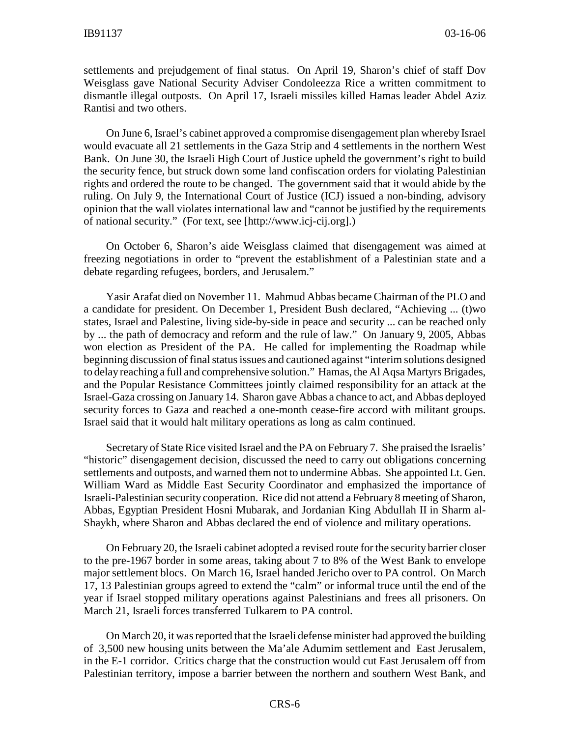settlements and prejudgement of final status. On April 19, Sharon's chief of staff Dov Weisglass gave National Security Adviser Condoleezza Rice a written commitment to dismantle illegal outposts. On April 17, Israeli missiles killed Hamas leader Abdel Aziz Rantisi and two others.

On June 6, Israel's cabinet approved a compromise disengagement plan whereby Israel would evacuate all 21 settlements in the Gaza Strip and 4 settlements in the northern West Bank. On June 30, the Israeli High Court of Justice upheld the government's right to build the security fence, but struck down some land confiscation orders for violating Palestinian rights and ordered the route to be changed. The government said that it would abide by the ruling. On July 9, the International Court of Justice (ICJ) issued a non-binding, advisory opinion that the wall violates international law and "cannot be justified by the requirements of national security." (For text, see [http://www.icj-cij.org].)

On October 6, Sharon's aide Weisglass claimed that disengagement was aimed at freezing negotiations in order to "prevent the establishment of a Palestinian state and a debate regarding refugees, borders, and Jerusalem."

Yasir Arafat died on November 11. Mahmud Abbas became Chairman of the PLO and a candidate for president. On December 1, President Bush declared, "Achieving ... (t)wo states, Israel and Palestine, living side-by-side in peace and security ... can be reached only by ... the path of democracy and reform and the rule of law." On January 9, 2005, Abbas won election as President of the PA. He called for implementing the Roadmap while beginning discussion of final status issues and cautioned against "interim solutions designed to delay reaching a full and comprehensive solution." Hamas, the Al Aqsa Martyrs Brigades, and the Popular Resistance Committees jointly claimed responsibility for an attack at the Israel-Gaza crossing on January 14. Sharon gave Abbas a chance to act, and Abbas deployed security forces to Gaza and reached a one-month cease-fire accord with militant groups. Israel said that it would halt military operations as long as calm continued.

Secretary of State Rice visited Israel and the PA on February 7. She praised the Israelis' "historic" disengagement decision, discussed the need to carry out obligations concerning settlements and outposts, and warned them not to undermine Abbas. She appointed Lt. Gen. William Ward as Middle East Security Coordinator and emphasized the importance of Israeli-Palestinian security cooperation. Rice did not attend a February 8 meeting of Sharon, Abbas, Egyptian President Hosni Mubarak, and Jordanian King Abdullah II in Sharm al-Shaykh, where Sharon and Abbas declared the end of violence and military operations.

On February 20, the Israeli cabinet adopted a revised route for the security barrier closer to the pre-1967 border in some areas, taking about 7 to 8% of the West Bank to envelope major settlement blocs. On March 16, Israel handed Jericho over to PA control. On March 17, 13 Palestinian groups agreed to extend the "calm" or informal truce until the end of the year if Israel stopped military operations against Palestinians and frees all prisoners. On March 21, Israeli forces transferred Tulkarem to PA control.

On March 20, it was reported that the Israeli defense minister had approved the building of 3,500 new housing units between the Ma'ale Adumim settlement and East Jerusalem, in the E-1 corridor. Critics charge that the construction would cut East Jerusalem off from Palestinian territory, impose a barrier between the northern and southern West Bank, and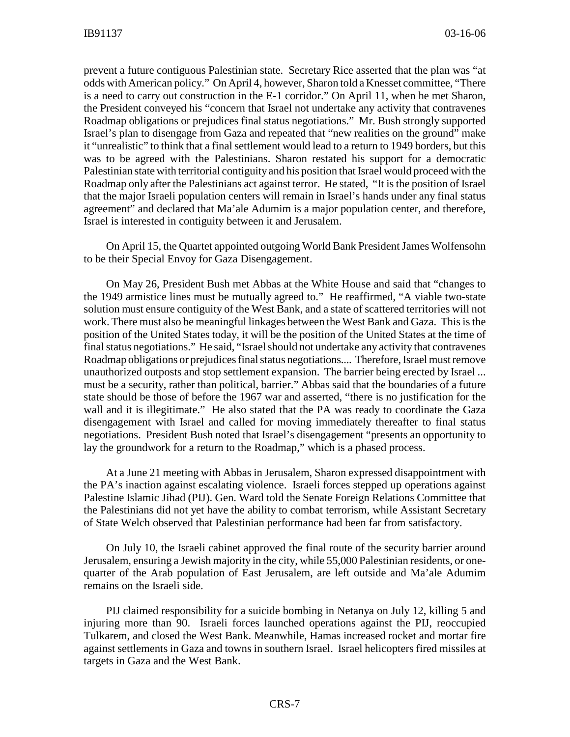prevent a future contiguous Palestinian state. Secretary Rice asserted that the plan was "at odds with American policy." On April 4, however, Sharon told a Knesset committee, "There is a need to carry out construction in the E-1 corridor." On April 11, when he met Sharon, the President conveyed his "concern that Israel not undertake any activity that contravenes Roadmap obligations or prejudices final status negotiations." Mr. Bush strongly supported Israel's plan to disengage from Gaza and repeated that "new realities on the ground" make it "unrealistic" to think that a final settlement would lead to a return to 1949 borders, but this was to be agreed with the Palestinians. Sharon restated his support for a democratic Palestinian state with territorial contiguity and his position that Israel would proceed with the Roadmap only after the Palestinians act against terror. He stated, "It is the position of Israel that the major Israeli population centers will remain in Israel's hands under any final status agreement" and declared that Ma'ale Adumim is a major population center, and therefore, Israel is interested in contiguity between it and Jerusalem.

On April 15, the Quartet appointed outgoing World Bank President James Wolfensohn to be their Special Envoy for Gaza Disengagement.

On May 26, President Bush met Abbas at the White House and said that "changes to the 1949 armistice lines must be mutually agreed to." He reaffirmed, "A viable two-state solution must ensure contiguity of the West Bank, and a state of scattered territories will not work. There must also be meaningful linkages between the West Bank and Gaza. This is the position of the United States today, it will be the position of the United States at the time of final status negotiations." He said, "Israel should not undertake any activity that contravenes Roadmap obligations or prejudices final status negotiations.... Therefore, Israel must remove unauthorized outposts and stop settlement expansion. The barrier being erected by Israel ... must be a security, rather than political, barrier." Abbas said that the boundaries of a future state should be those of before the 1967 war and asserted, "there is no justification for the wall and it is illegitimate." He also stated that the PA was ready to coordinate the Gaza disengagement with Israel and called for moving immediately thereafter to final status negotiations. President Bush noted that Israel's disengagement "presents an opportunity to lay the groundwork for a return to the Roadmap," which is a phased process.

At a June 21 meeting with Abbas in Jerusalem, Sharon expressed disappointment with the PA's inaction against escalating violence. Israeli forces stepped up operations against Palestine Islamic Jihad (PIJ). Gen. Ward told the Senate Foreign Relations Committee that the Palestinians did not yet have the ability to combat terrorism, while Assistant Secretary of State Welch observed that Palestinian performance had been far from satisfactory.

On July 10, the Israeli cabinet approved the final route of the security barrier around Jerusalem, ensuring a Jewish majority in the city, while 55,000 Palestinian residents, or onequarter of the Arab population of East Jerusalem, are left outside and Ma'ale Adumim remains on the Israeli side.

PIJ claimed responsibility for a suicide bombing in Netanya on July 12, killing 5 and injuring more than 90. Israeli forces launched operations against the PIJ, reoccupied Tulkarem, and closed the West Bank. Meanwhile, Hamas increased rocket and mortar fire against settlements in Gaza and towns in southern Israel. Israel helicopters fired missiles at targets in Gaza and the West Bank.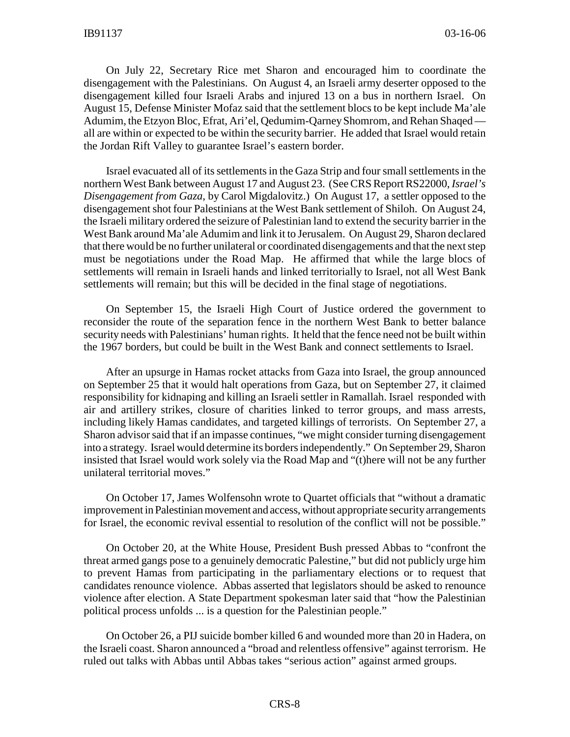On July 22, Secretary Rice met Sharon and encouraged him to coordinate the disengagement with the Palestinians. On August 4, an Israeli army deserter opposed to the disengagement killed four Israeli Arabs and injured 13 on a bus in northern Israel. On August 15, Defense Minister Mofaz said that the settlement blocs to be kept include Ma'ale Adumim, the Etzyon Bloc, Efrat, Ari'el, Qedumim-Qarney Shomrom, and Rehan Shaqed all are within or expected to be within the security barrier. He added that Israel would retain the Jordan Rift Valley to guarantee Israel's eastern border.

Israel evacuated all of its settlements in the Gaza Strip and four small settlements in the northern West Bank between August 17 and August 23. (See CRS Report RS22000, *Israel's Disengagement from Gaza*, by Carol Migdalovitz.) On August 17, a settler opposed to the disengagement shot four Palestinians at the West Bank settlement of Shiloh. On August 24, the Israeli military ordered the seizure of Palestinian land to extend the security barrier in the West Bank around Ma'ale Adumim and link it to Jerusalem. On August 29, Sharon declared that there would be no further unilateral or coordinated disengagements and that the next step must be negotiations under the Road Map. He affirmed that while the large blocs of settlements will remain in Israeli hands and linked territorially to Israel, not all West Bank settlements will remain; but this will be decided in the final stage of negotiations.

On September 15, the Israeli High Court of Justice ordered the government to reconsider the route of the separation fence in the northern West Bank to better balance security needs with Palestinians' human rights. It held that the fence need not be built within the 1967 borders, but could be built in the West Bank and connect settlements to Israel.

After an upsurge in Hamas rocket attacks from Gaza into Israel, the group announced on September 25 that it would halt operations from Gaza, but on September 27, it claimed responsibility for kidnaping and killing an Israeli settler in Ramallah. Israel responded with air and artillery strikes, closure of charities linked to terror groups, and mass arrests, including likely Hamas candidates, and targeted killings of terrorists. On September 27, a Sharon advisor said that if an impasse continues, "we might consider turning disengagement into a strategy. Israel would determine its borders independently." On September 29, Sharon insisted that Israel would work solely via the Road Map and "(t)here will not be any further unilateral territorial moves."

On October 17, James Wolfensohn wrote to Quartet officials that "without a dramatic improvement in Palestinian movement and access, without appropriate security arrangements for Israel, the economic revival essential to resolution of the conflict will not be possible."

On October 20, at the White House, President Bush pressed Abbas to "confront the threat armed gangs pose to a genuinely democratic Palestine," but did not publicly urge him to prevent Hamas from participating in the parliamentary elections or to request that candidates renounce violence. Abbas asserted that legislators should be asked to renounce violence after election. A State Department spokesman later said that "how the Palestinian political process unfolds ... is a question for the Palestinian people."

On October 26, a PIJ suicide bomber killed 6 and wounded more than 20 in Hadera, on the Israeli coast. Sharon announced a "broad and relentless offensive" against terrorism. He ruled out talks with Abbas until Abbas takes "serious action" against armed groups.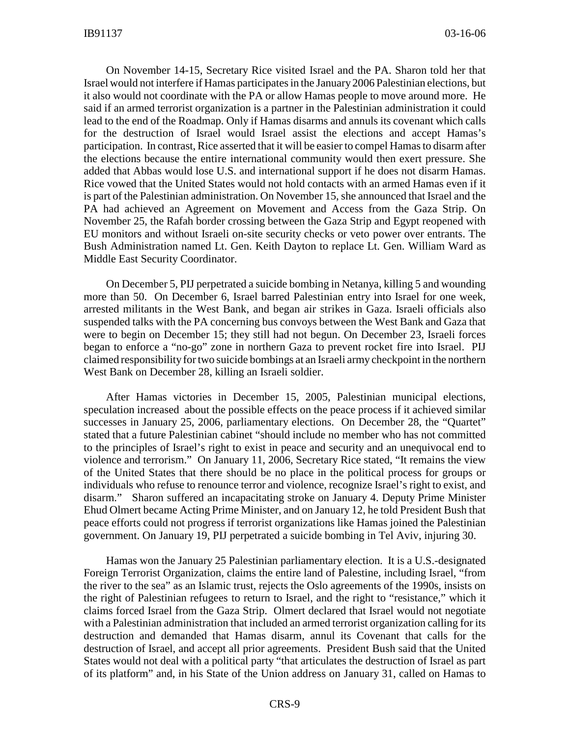On November 14-15, Secretary Rice visited Israel and the PA. Sharon told her that Israel would not interfere if Hamas participates in the January 2006 Palestinian elections, but it also would not coordinate with the PA or allow Hamas people to move around more. He said if an armed terrorist organization is a partner in the Palestinian administration it could lead to the end of the Roadmap. Only if Hamas disarms and annuls its covenant which calls for the destruction of Israel would Israel assist the elections and accept Hamas's participation. In contrast, Rice asserted that it will be easier to compel Hamas to disarm after the elections because the entire international community would then exert pressure. She added that Abbas would lose U.S. and international support if he does not disarm Hamas. Rice vowed that the United States would not hold contacts with an armed Hamas even if it is part of the Palestinian administration. On November 15, she announced that Israel and the PA had achieved an Agreement on Movement and Access from the Gaza Strip. On November 25, the Rafah border crossing between the Gaza Strip and Egypt reopened with EU monitors and without Israeli on-site security checks or veto power over entrants. The Bush Administration named Lt. Gen. Keith Dayton to replace Lt. Gen. William Ward as Middle East Security Coordinator.

On December 5, PIJ perpetrated a suicide bombing in Netanya, killing 5 and wounding more than 50. On December 6, Israel barred Palestinian entry into Israel for one week, arrested militants in the West Bank, and began air strikes in Gaza. Israeli officials also suspended talks with the PA concerning bus convoys between the West Bank and Gaza that were to begin on December 15; they still had not begun. On December 23, Israeli forces began to enforce a "no-go" zone in northern Gaza to prevent rocket fire into Israel. PIJ claimed responsibility for two suicide bombings at an Israeli army checkpoint in the northern West Bank on December 28, killing an Israeli soldier.

After Hamas victories in December 15, 2005, Palestinian municipal elections, speculation increased about the possible effects on the peace process if it achieved similar successes in January 25, 2006, parliamentary elections. On December 28, the "Quartet" stated that a future Palestinian cabinet "should include no member who has not committed to the principles of Israel's right to exist in peace and security and an unequivocal end to violence and terrorism." On January 11, 2006, Secretary Rice stated, "It remains the view of the United States that there should be no place in the political process for groups or individuals who refuse to renounce terror and violence, recognize Israel's right to exist, and disarm." Sharon suffered an incapacitating stroke on January 4. Deputy Prime Minister Ehud Olmert became Acting Prime Minister, and on January 12, he told President Bush that peace efforts could not progress if terrorist organizations like Hamas joined the Palestinian government. On January 19, PIJ perpetrated a suicide bombing in Tel Aviv, injuring 30.

Hamas won the January 25 Palestinian parliamentary election. It is a U.S.-designated Foreign Terrorist Organization, claims the entire land of Palestine, including Israel, "from the river to the sea" as an Islamic trust, rejects the Oslo agreements of the 1990s, insists on the right of Palestinian refugees to return to Israel, and the right to "resistance," which it claims forced Israel from the Gaza Strip. Olmert declared that Israel would not negotiate with a Palestinian administration that included an armed terrorist organization calling for its destruction and demanded that Hamas disarm, annul its Covenant that calls for the destruction of Israel, and accept all prior agreements. President Bush said that the United States would not deal with a political party "that articulates the destruction of Israel as part of its platform" and, in his State of the Union address on January 31, called on Hamas to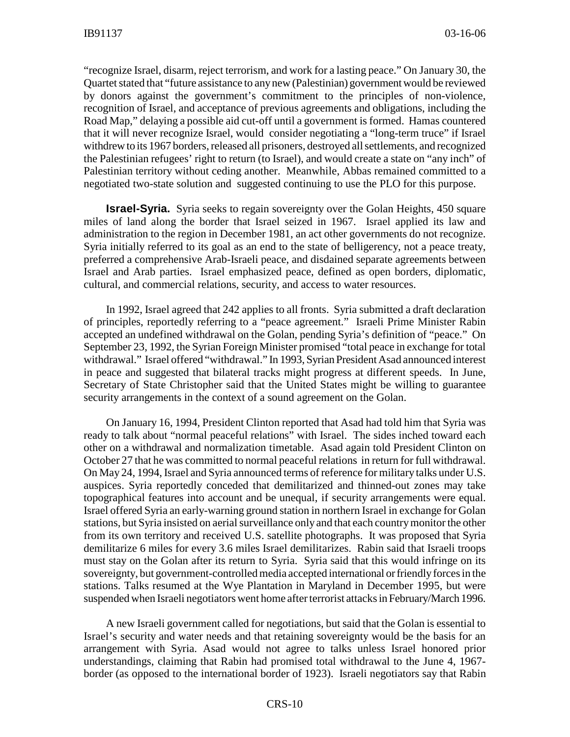"recognize Israel, disarm, reject terrorism, and work for a lasting peace." On January 30, the Quartet stated that "future assistance to any new (Palestinian) government would be reviewed by donors against the government's commitment to the principles of non-violence, recognition of Israel, and acceptance of previous agreements and obligations, including the Road Map," delaying a possible aid cut-off until a government is formed. Hamas countered that it will never recognize Israel, would consider negotiating a "long-term truce" if Israel withdrew to its 1967 borders, released all prisoners, destroyed all settlements, and recognized the Palestinian refugees' right to return (to Israel), and would create a state on "any inch" of Palestinian territory without ceding another. Meanwhile, Abbas remained committed to a negotiated two-state solution and suggested continuing to use the PLO for this purpose.

**Israel-Syria.** Syria seeks to regain sovereignty over the Golan Heights, 450 square miles of land along the border that Israel seized in 1967. Israel applied its law and administration to the region in December 1981, an act other governments do not recognize. Syria initially referred to its goal as an end to the state of belligerency, not a peace treaty, preferred a comprehensive Arab-Israeli peace, and disdained separate agreements between Israel and Arab parties. Israel emphasized peace, defined as open borders, diplomatic, cultural, and commercial relations, security, and access to water resources.

In 1992, Israel agreed that 242 applies to all fronts. Syria submitted a draft declaration of principles, reportedly referring to a "peace agreement." Israeli Prime Minister Rabin accepted an undefined withdrawal on the Golan, pending Syria's definition of "peace." On September 23, 1992, the Syrian Foreign Minister promised "total peace in exchange for total withdrawal." Israel offered "withdrawal." In 1993, Syrian President Asad announced interest in peace and suggested that bilateral tracks might progress at different speeds. In June, Secretary of State Christopher said that the United States might be willing to guarantee security arrangements in the context of a sound agreement on the Golan.

On January 16, 1994, President Clinton reported that Asad had told him that Syria was ready to talk about "normal peaceful relations" with Israel. The sides inched toward each other on a withdrawal and normalization timetable. Asad again told President Clinton on October 27 that he was committed to normal peaceful relations in return for full withdrawal. On May 24, 1994, Israel and Syria announced terms of reference for military talks under U.S. auspices. Syria reportedly conceded that demilitarized and thinned-out zones may take topographical features into account and be unequal, if security arrangements were equal. Israel offered Syria an early-warning ground station in northern Israel in exchange for Golan stations, but Syria insisted on aerial surveillance only and that each country monitor the other from its own territory and received U.S. satellite photographs. It was proposed that Syria demilitarize 6 miles for every 3.6 miles Israel demilitarizes. Rabin said that Israeli troops must stay on the Golan after its return to Syria. Syria said that this would infringe on its sovereignty, but government-controlled media accepted international or friendly forces in the stations. Talks resumed at the Wye Plantation in Maryland in December 1995, but were suspended when Israeli negotiators went home after terrorist attacks in February/March 1996.

A new Israeli government called for negotiations, but said that the Golan is essential to Israel's security and water needs and that retaining sovereignty would be the basis for an arrangement with Syria. Asad would not agree to talks unless Israel honored prior understandings, claiming that Rabin had promised total withdrawal to the June 4, 1967 border (as opposed to the international border of 1923). Israeli negotiators say that Rabin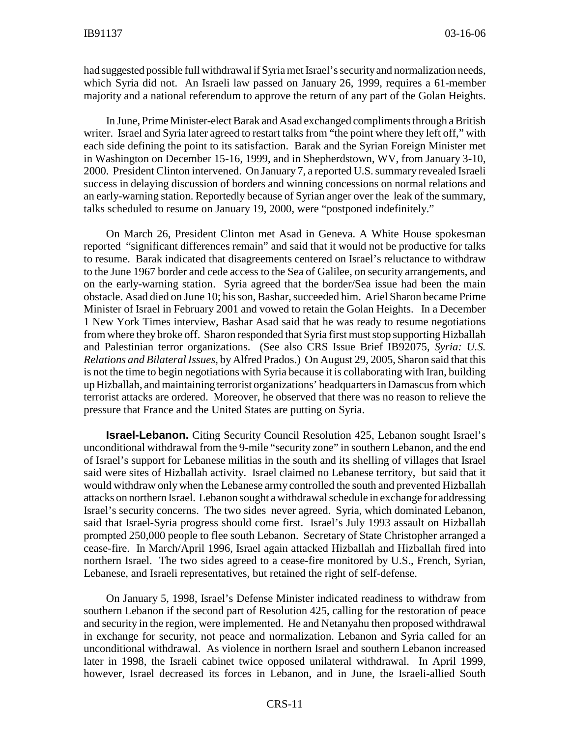had suggested possible full withdrawal if Syria met Israel's security and normalization needs, which Syria did not. An Israeli law passed on January 26, 1999, requires a 61-member majority and a national referendum to approve the return of any part of the Golan Heights.

In June, Prime Minister-elect Barak and Asad exchanged compliments through a British writer. Israel and Syria later agreed to restart talks from "the point where they left off," with each side defining the point to its satisfaction. Barak and the Syrian Foreign Minister met in Washington on December 15-16, 1999, and in Shepherdstown, WV, from January 3-10, 2000. President Clinton intervened. On January 7, a reported U.S. summary revealed Israeli success in delaying discussion of borders and winning concessions on normal relations and an early-warning station. Reportedly because of Syrian anger over the leak of the summary, talks scheduled to resume on January 19, 2000, were "postponed indefinitely."

On March 26, President Clinton met Asad in Geneva. A White House spokesman reported "significant differences remain" and said that it would not be productive for talks to resume. Barak indicated that disagreements centered on Israel's reluctance to withdraw to the June 1967 border and cede access to the Sea of Galilee, on security arrangements, and on the early-warning station. Syria agreed that the border/Sea issue had been the main obstacle. Asad died on June 10; his son, Bashar, succeeded him. Ariel Sharon became Prime Minister of Israel in February 2001 and vowed to retain the Golan Heights. In a December 1 New York Times interview, Bashar Asad said that he was ready to resume negotiations from where they broke off. Sharon responded that Syria first must stop supporting Hizballah and Palestinian terror organizations. (See also CRS Issue Brief IB92075, *Syria: U.S. Relations and Bilateral Issues*, by Alfred Prados.) On August 29, 2005, Sharon said that this is not the time to begin negotiations with Syria because it is collaborating with Iran, building up Hizballah, and maintaining terrorist organizations' headquarters in Damascus from which terrorist attacks are ordered. Moreover, he observed that there was no reason to relieve the pressure that France and the United States are putting on Syria.

**Israel-Lebanon.** Citing Security Council Resolution 425, Lebanon sought Israel's unconditional withdrawal from the 9-mile "security zone" in southern Lebanon, and the end of Israel's support for Lebanese militias in the south and its shelling of villages that Israel said were sites of Hizballah activity. Israel claimed no Lebanese territory, but said that it would withdraw only when the Lebanese army controlled the south and prevented Hizballah attacks on northern Israel. Lebanon sought a withdrawal schedule in exchange for addressing Israel's security concerns. The two sides never agreed. Syria, which dominated Lebanon, said that Israel-Syria progress should come first. Israel's July 1993 assault on Hizballah prompted 250,000 people to flee south Lebanon. Secretary of State Christopher arranged a cease-fire. In March/April 1996, Israel again attacked Hizballah and Hizballah fired into northern Israel. The two sides agreed to a cease-fire monitored by U.S., French, Syrian, Lebanese, and Israeli representatives, but retained the right of self-defense.

On January 5, 1998, Israel's Defense Minister indicated readiness to withdraw from southern Lebanon if the second part of Resolution 425, calling for the restoration of peace and security in the region, were implemented. He and Netanyahu then proposed withdrawal in exchange for security, not peace and normalization. Lebanon and Syria called for an unconditional withdrawal. As violence in northern Israel and southern Lebanon increased later in 1998, the Israeli cabinet twice opposed unilateral withdrawal. In April 1999, however, Israel decreased its forces in Lebanon, and in June, the Israeli-allied South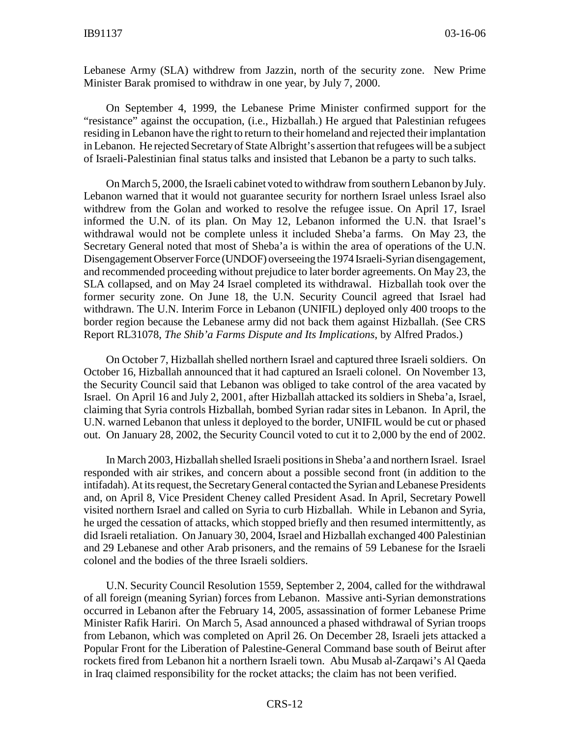Lebanese Army (SLA) withdrew from Jazzin, north of the security zone. New Prime Minister Barak promised to withdraw in one year, by July 7, 2000.

On September 4, 1999, the Lebanese Prime Minister confirmed support for the "resistance" against the occupation, (i.e., Hizballah.) He argued that Palestinian refugees residing in Lebanon have the right to return to their homeland and rejected their implantation in Lebanon. He rejected Secretary of State Albright's assertion that refugees will be a subject of Israeli-Palestinian final status talks and insisted that Lebanon be a party to such talks.

On March 5, 2000, the Israeli cabinet voted to withdraw from southern Lebanon by July. Lebanon warned that it would not guarantee security for northern Israel unless Israel also withdrew from the Golan and worked to resolve the refugee issue. On April 17, Israel informed the U.N. of its plan. On May 12, Lebanon informed the U.N. that Israel's withdrawal would not be complete unless it included Sheba'a farms. On May 23, the Secretary General noted that most of Sheba'a is within the area of operations of the U.N. Disengagement Observer Force (UNDOF) overseeing the 1974 Israeli-Syrian disengagement, and recommended proceeding without prejudice to later border agreements. On May 23, the SLA collapsed, and on May 24 Israel completed its withdrawal. Hizballah took over the former security zone. On June 18, the U.N. Security Council agreed that Israel had withdrawn. The U.N. Interim Force in Lebanon (UNIFIL) deployed only 400 troops to the border region because the Lebanese army did not back them against Hizballah. (See CRS Report RL31078, *The Shib'a Farms Dispute and Its Implications*, by Alfred Prados.)

On October 7, Hizballah shelled northern Israel and captured three Israeli soldiers. On October 16, Hizballah announced that it had captured an Israeli colonel. On November 13, the Security Council said that Lebanon was obliged to take control of the area vacated by Israel. On April 16 and July 2, 2001, after Hizballah attacked its soldiers in Sheba'a, Israel, claiming that Syria controls Hizballah, bombed Syrian radar sites in Lebanon. In April, the U.N. warned Lebanon that unless it deployed to the border, UNIFIL would be cut or phased out. On January 28, 2002, the Security Council voted to cut it to 2,000 by the end of 2002.

In March 2003, Hizballah shelled Israeli positions in Sheba'a and northern Israel. Israel responded with air strikes, and concern about a possible second front (in addition to the intifadah). At its request, the Secretary General contacted the Syrian and Lebanese Presidents and, on April 8, Vice President Cheney called President Asad. In April, Secretary Powell visited northern Israel and called on Syria to curb Hizballah. While in Lebanon and Syria, he urged the cessation of attacks, which stopped briefly and then resumed intermittently, as did Israeli retaliation. On January 30, 2004, Israel and Hizballah exchanged 400 Palestinian and 29 Lebanese and other Arab prisoners, and the remains of 59 Lebanese for the Israeli colonel and the bodies of the three Israeli soldiers.

U.N. Security Council Resolution 1559, September 2, 2004, called for the withdrawal of all foreign (meaning Syrian) forces from Lebanon. Massive anti-Syrian demonstrations occurred in Lebanon after the February 14, 2005, assassination of former Lebanese Prime Minister Rafik Hariri. On March 5, Asad announced a phased withdrawal of Syrian troops from Lebanon, which was completed on April 26. On December 28, Israeli jets attacked a Popular Front for the Liberation of Palestine-General Command base south of Beirut after rockets fired from Lebanon hit a northern Israeli town. Abu Musab al-Zarqawi's Al Qaeda in Iraq claimed responsibility for the rocket attacks; the claim has not been verified.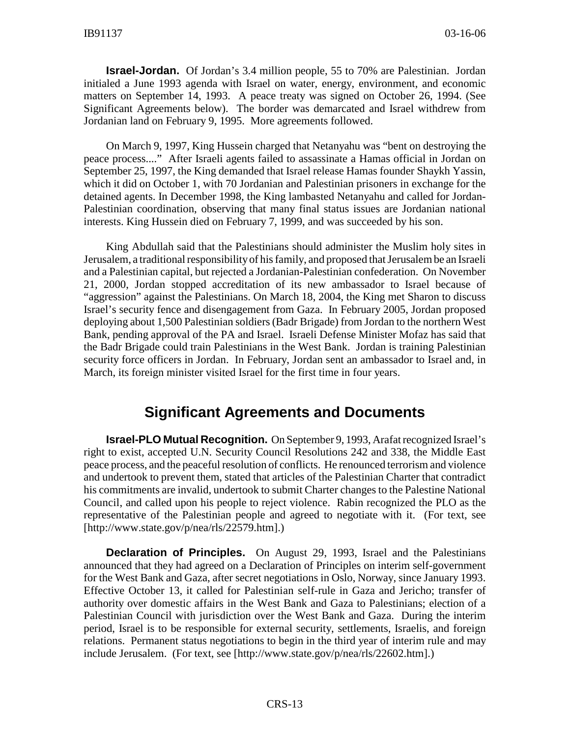**Israel-Jordan.** Of Jordan's 3.4 million people, 55 to 70% are Palestinian. Jordan initialed a June 1993 agenda with Israel on water, energy, environment, and economic matters on September 14, 1993. A peace treaty was signed on October 26, 1994. (See Significant Agreements below). The border was demarcated and Israel withdrew from Jordanian land on February 9, 1995. More agreements followed.

On March 9, 1997, King Hussein charged that Netanyahu was "bent on destroying the peace process...." After Israeli agents failed to assassinate a Hamas official in Jordan on September 25, 1997, the King demanded that Israel release Hamas founder Shaykh Yassin, which it did on October 1, with 70 Jordanian and Palestinian prisoners in exchange for the detained agents. In December 1998, the King lambasted Netanyahu and called for Jordan-Palestinian coordination, observing that many final status issues are Jordanian national interests. King Hussein died on February 7, 1999, and was succeeded by his son.

King Abdullah said that the Palestinians should administer the Muslim holy sites in Jerusalem, a traditional responsibility of his family, and proposed that Jerusalem be an Israeli and a Palestinian capital, but rejected a Jordanian-Palestinian confederation. On November 21, 2000, Jordan stopped accreditation of its new ambassador to Israel because of "aggression" against the Palestinians. On March 18, 2004, the King met Sharon to discuss Israel's security fence and disengagement from Gaza. In February 2005, Jordan proposed deploying about 1,500 Palestinian soldiers (Badr Brigade) from Jordan to the northern West Bank, pending approval of the PA and Israel. Israeli Defense Minister Mofaz has said that the Badr Brigade could train Palestinians in the West Bank. Jordan is training Palestinian security force officers in Jordan. In February, Jordan sent an ambassador to Israel and, in March, its foreign minister visited Israel for the first time in four years.

#### **Significant Agreements and Documents**

**Israel-PLO Mutual Recognition.** On September 9, 1993, Arafat recognized Israel's right to exist, accepted U.N. Security Council Resolutions 242 and 338, the Middle East peace process, and the peaceful resolution of conflicts. He renounced terrorism and violence and undertook to prevent them, stated that articles of the Palestinian Charter that contradict his commitments are invalid, undertook to submit Charter changes to the Palestine National Council, and called upon his people to reject violence. Rabin recognized the PLO as the representative of the Palestinian people and agreed to negotiate with it. (For text, see [http://www.state.gov/p/nea/rls/22579.htm].)

**Declaration of Principles.** On August 29, 1993, Israel and the Palestinians announced that they had agreed on a Declaration of Principles on interim self-government for the West Bank and Gaza, after secret negotiations in Oslo, Norway, since January 1993. Effective October 13, it called for Palestinian self-rule in Gaza and Jericho; transfer of authority over domestic affairs in the West Bank and Gaza to Palestinians; election of a Palestinian Council with jurisdiction over the West Bank and Gaza. During the interim period, Israel is to be responsible for external security, settlements, Israelis, and foreign relations. Permanent status negotiations to begin in the third year of interim rule and may include Jerusalem. (For text, see [http://www.state.gov/p/nea/rls/22602.htm].)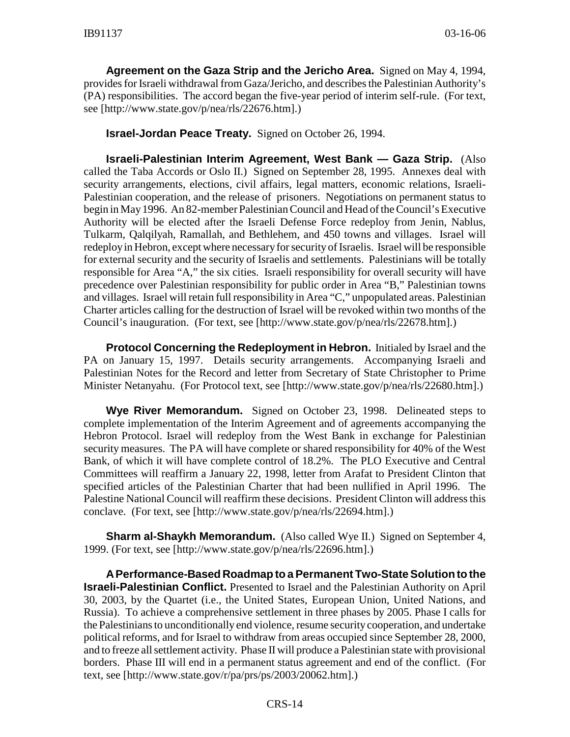**Agreement on the Gaza Strip and the Jericho Area.** Signed on May 4, 1994, provides for Israeli withdrawal from Gaza/Jericho, and describes the Palestinian Authority's (PA) responsibilities. The accord began the five-year period of interim self-rule. (For text, see [http://www.state.gov/p/nea/rls/22676.htm].)

#### **Israel-Jordan Peace Treaty.** Signed on October 26, 1994.

**Israeli-Palestinian Interim Agreement, West Bank — Gaza Strip.** (Also called the Taba Accords or Oslo II.) Signed on September 28, 1995. Annexes deal with security arrangements, elections, civil affairs, legal matters, economic relations, Israeli-Palestinian cooperation, and the release of prisoners. Negotiations on permanent status to begin in May 1996. An 82-member Palestinian Council and Head of the Council's Executive Authority will be elected after the Israeli Defense Force redeploy from Jenin, Nablus, Tulkarm, Qalqilyah, Ramallah, and Bethlehem, and 450 towns and villages. Israel will redeploy in Hebron, except where necessary for security of Israelis. Israel will be responsible for external security and the security of Israelis and settlements. Palestinians will be totally responsible for Area "A," the six cities. Israeli responsibility for overall security will have precedence over Palestinian responsibility for public order in Area "B," Palestinian towns and villages. Israel will retain full responsibility in Area "C," unpopulated areas. Palestinian Charter articles calling for the destruction of Israel will be revoked within two months of the Council's inauguration. (For text, see [http://www.state.gov/p/nea/rls/22678.htm].)

**Protocol Concerning the Redeployment in Hebron.** Initialed by Israel and the PA on January 15, 1997. Details security arrangements. Accompanying Israeli and Palestinian Notes for the Record and letter from Secretary of State Christopher to Prime Minister Netanyahu. (For Protocol text, see [http://www.state.gov/p/nea/rls/22680.htm].)

**Wye River Memorandum.** Signed on October 23, 1998. Delineated steps to complete implementation of the Interim Agreement and of agreements accompanying the Hebron Protocol. Israel will redeploy from the West Bank in exchange for Palestinian security measures. The PA will have complete or shared responsibility for 40% of the West Bank, of which it will have complete control of 18.2%. The PLO Executive and Central Committees will reaffirm a January 22, 1998, letter from Arafat to President Clinton that specified articles of the Palestinian Charter that had been nullified in April 1996. The Palestine National Council will reaffirm these decisions. President Clinton will address this conclave. (For text, see [http://www.state.gov/p/nea/rls/22694.htm].)

**Sharm al-Shaykh Memorandum.** (Also called Wye II.) Signed on September 4, 1999. (For text, see [http://www.state.gov/p/nea/rls/22696.htm].)

**A Performance-Based Roadmap to a Permanent Two-State Solution to the Israeli-Palestinian Conflict.** Presented to Israel and the Palestinian Authority on April 30, 2003, by the Quartet (i.e., the United States, European Union, United Nations, and Russia). To achieve a comprehensive settlement in three phases by 2005. Phase I calls for the Palestinians to unconditionally end violence, resume security cooperation, and undertake political reforms, and for Israel to withdraw from areas occupied since September 28, 2000, and to freeze all settlement activity. Phase II will produce a Palestinian state with provisional borders. Phase III will end in a permanent status agreement and end of the conflict. (For text, see [http://www.state.gov/r/pa/prs/ps/2003/20062.htm].)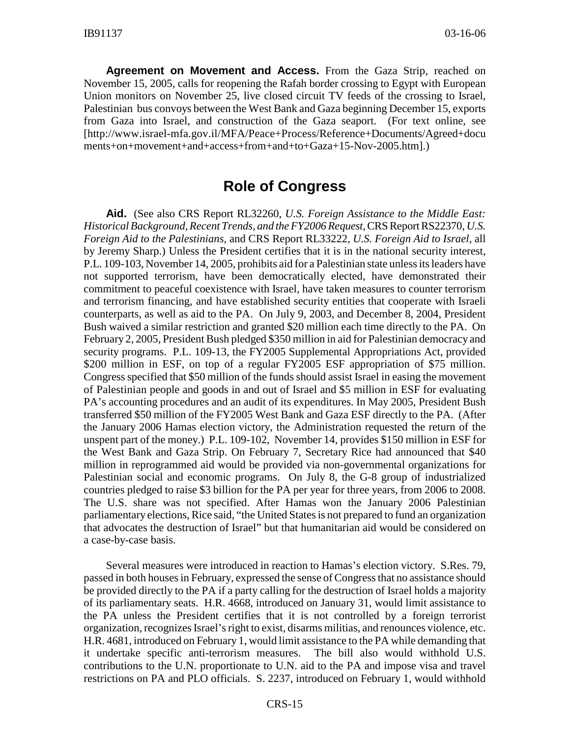**Agreement on Movement and Access.** From the Gaza Strip, reached on November 15, 2005, calls for reopening the Rafah border crossing to Egypt with European Union monitors on November 25, live closed circuit TV feeds of the crossing to Israel, Palestinian bus convoys between the West Bank and Gaza beginning December 15, exports from Gaza into Israel, and construction of the Gaza seaport. (For text online, see [http://www.israel-mfa.gov.il/MFA/Peace+Process/Reference+Documents/Agreed+docu ments+on+movement+and+access+from+and+to+Gaza+15-Nov-2005.htm].)

### **Role of Congress**

**Aid.** (See also CRS Report RL32260, *U.S. Foreign Assistance to the Middle East: Historical Background, Recent Trends, and the FY2006 Request*, CRS Report RS22370, *U.S. Foreign Aid to the Palestinians*, and CRS Report RL33222, *U.S. Foreign Aid to Israel*, all by Jeremy Sharp.) Unless the President certifies that it is in the national security interest, P.L. 109-103, November 14, 2005, prohibits aid for a Palestinian state unless its leaders have not supported terrorism, have been democratically elected, have demonstrated their commitment to peaceful coexistence with Israel, have taken measures to counter terrorism and terrorism financing, and have established security entities that cooperate with Israeli counterparts, as well as aid to the PA. On July 9, 2003, and December 8, 2004, President Bush waived a similar restriction and granted \$20 million each time directly to the PA. On February 2, 2005, President Bush pledged \$350 million in aid for Palestinian democracy and security programs. P.L. 109-13, the FY2005 Supplemental Appropriations Act, provided \$200 million in ESF, on top of a regular FY2005 ESF appropriation of \$75 million. Congress specified that \$50 million of the funds should assist Israel in easing the movement of Palestinian people and goods in and out of Israel and \$5 million in ESF for evaluating PA's accounting procedures and an audit of its expenditures. In May 2005, President Bush transferred \$50 million of the FY2005 West Bank and Gaza ESF directly to the PA. (After the January 2006 Hamas election victory, the Administration requested the return of the unspent part of the money.) P.L. 109-102, November 14, provides \$150 million in ESF for the West Bank and Gaza Strip. On February 7, Secretary Rice had announced that \$40 million in reprogrammed aid would be provided via non-governmental organizations for Palestinian social and economic programs. On July 8, the G-8 group of industrialized countries pledged to raise \$3 billion for the PA per year for three years, from 2006 to 2008. The U.S. share was not specified. After Hamas won the January 2006 Palestinian parliamentary elections, Rice said, "the United States is not prepared to fund an organization that advocates the destruction of Israel" but that humanitarian aid would be considered on a case-by-case basis.

Several measures were introduced in reaction to Hamas's election victory. S.Res. 79, passed in both houses in February, expressed the sense of Congress that no assistance should be provided directly to the PA if a party calling for the destruction of Israel holds a majority of its parliamentary seats. H.R. 4668, introduced on January 31, would limit assistance to the PA unless the President certifies that it is not controlled by a foreign terrorist organization, recognizes Israel's right to exist, disarms militias, and renounces violence, etc. H.R. 4681, introduced on February 1, would limit assistance to the PA while demanding that it undertake specific anti-terrorism measures. The bill also would withhold U.S. contributions to the U.N. proportionate to U.N. aid to the PA and impose visa and travel restrictions on PA and PLO officials. S. 2237, introduced on February 1, would withhold